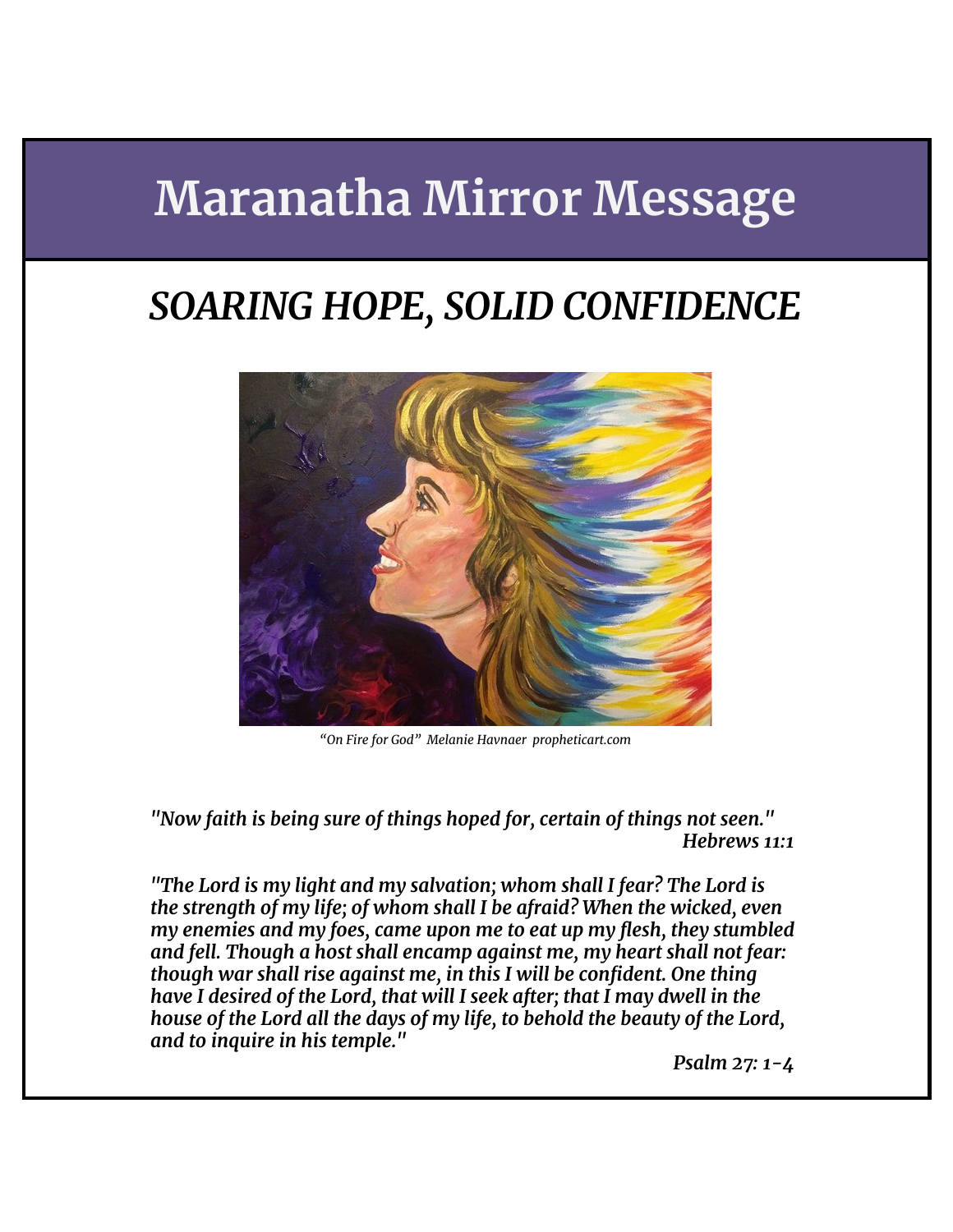# **Maranatha Mirror Message**

## *SOARING HOPE, SOLID CONFIDENCE*



*"On Fire for God" Melanie Havnaer propheticart.com*

*"Now faith is being sure of things hoped for, certain of things not seen." Hebrews 11:1*

*"The Lord is my light and my salvation; whom shall I fear? The Lord is the strength of my life; of whom shall I be afraid? When the wicked, even my enemies and my foes, came upon me to eat up my flesh, they stumbled and fell. Though a host shall encamp against me, my heart shall not fear: though war shall rise against me, in this I will be confident. One thing have I desired of the Lord, that will I seek after; that I may dwell in the house of the Lord all the days of my life, to behold the beauty of the Lord, and to inquire in his temple."*

*Psalm 27: 1-4*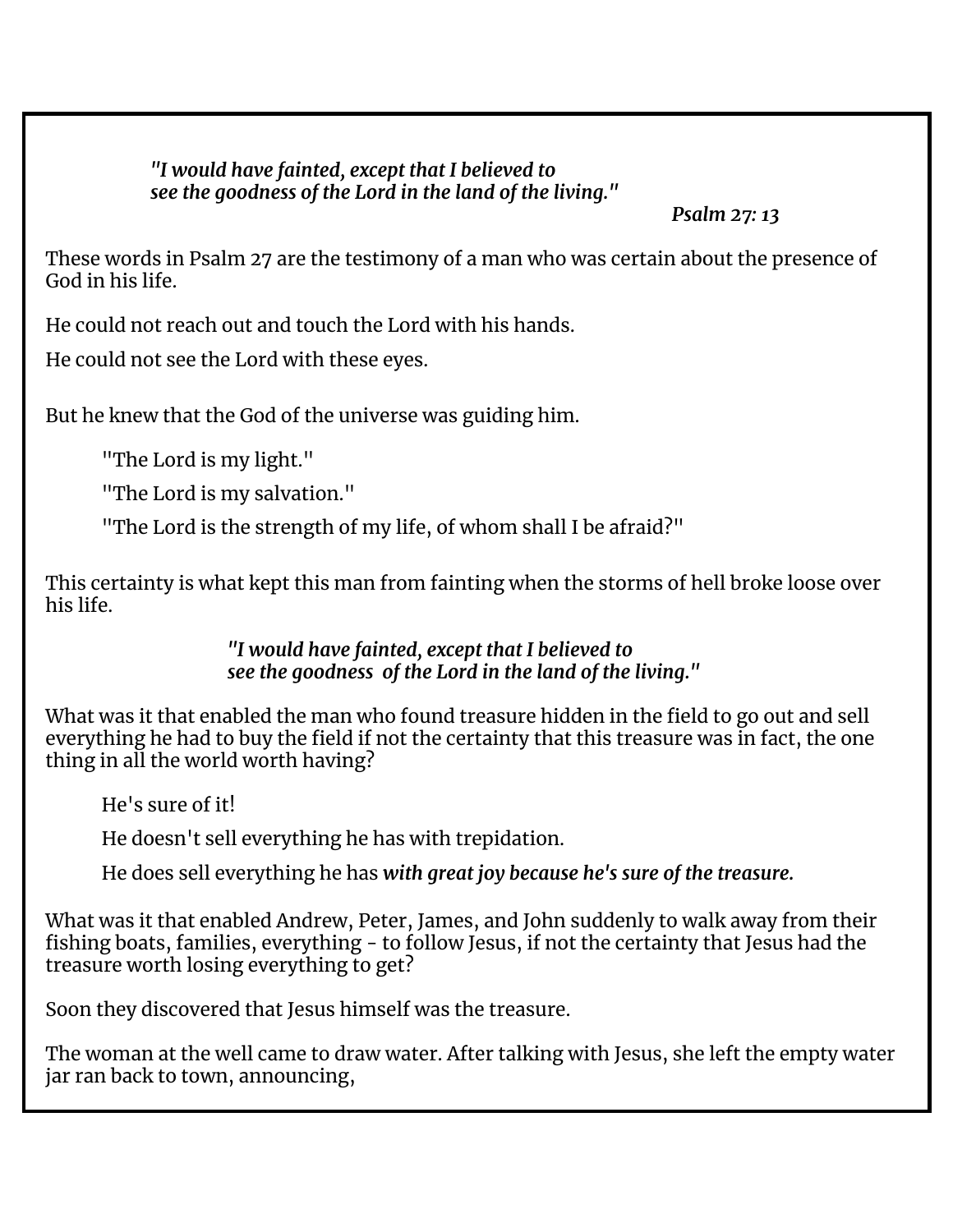*"I would have fainted, except that I believed to see the goodness of the Lord in the land of the living."*

*Psalm 27: 13*

These words in Psalm 27 are the testimony of a man who was certain about the presence of God in his life.

He could not reach out and touch the Lord with his hands.

He could not see the Lord with these eyes.

But he knew that the God of the universe was guiding him.

"The Lord is my light."

"The Lord is my salvation."

"The Lord is the strength of my life, of whom shall I be afraid?"

This certainty is what kept this man from fainting when the storms of hell broke loose over his life.

> *"I would have fainted, except that I believed to see the goodness of the Lord in the land of the living."*

What was it that enabled the man who found treasure hidden in the field to go out and sell everything he had to buy the field if not the certainty that this treasure was in fact, the one thing in all the world worth having?

He's sure of it!

He doesn't sell everything he has with trepidation.

He does sell everything he has *with great joy because he's sure of the treasure.*

What was it that enabled Andrew, Peter, James, and John suddenly to walk away from their fishing boats, families, everything - to follow Jesus, if not the certainty that Jesus had the treasure worth losing everything to get?

Soon they discovered that Jesus himself was the treasure.

The woman at the well came to draw water. After talking with Jesus, she left the empty water jar ran back to town, announcing,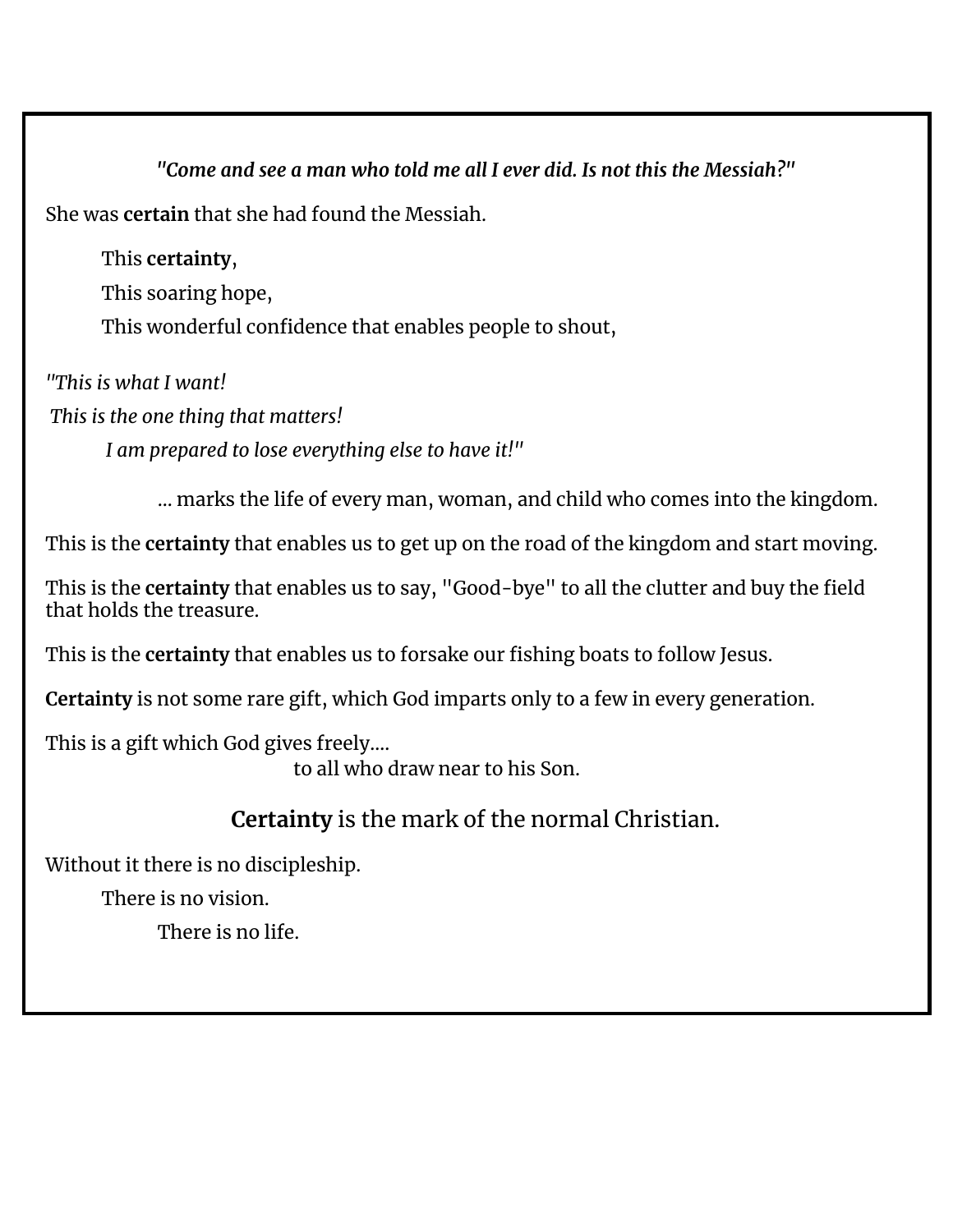*"Come and see a man who told me all I ever did. Is not this the Messiah?"* She was **certain** that she had found the Messiah.

This **certainty**, This soaring hope, This wonderful confidence that enables people to shout,

*"This is what I want!*

*This is the one thing that matters!*

*I am prepared to lose everything else to have it!"*

… marks the life of every man, woman, and child who comes into the kingdom.

This is the **certainty** that enables us to get up on the road of the kingdom and start moving.

This is the **certainty** that enables us to say, "Good-bye" to all the clutter and buy the field that holds the treasure.

This is the **certainty** that enables us to forsake our fishing boats to follow Jesus.

**Certainty** is not some rare gift, which God imparts only to a few in every generation.

This is a gift which God gives freely….

to all who draw near to his Son.

## **Certainty** is the mark of the normal Christian.

Without it there is no discipleship.

There is no vision.

There is no life.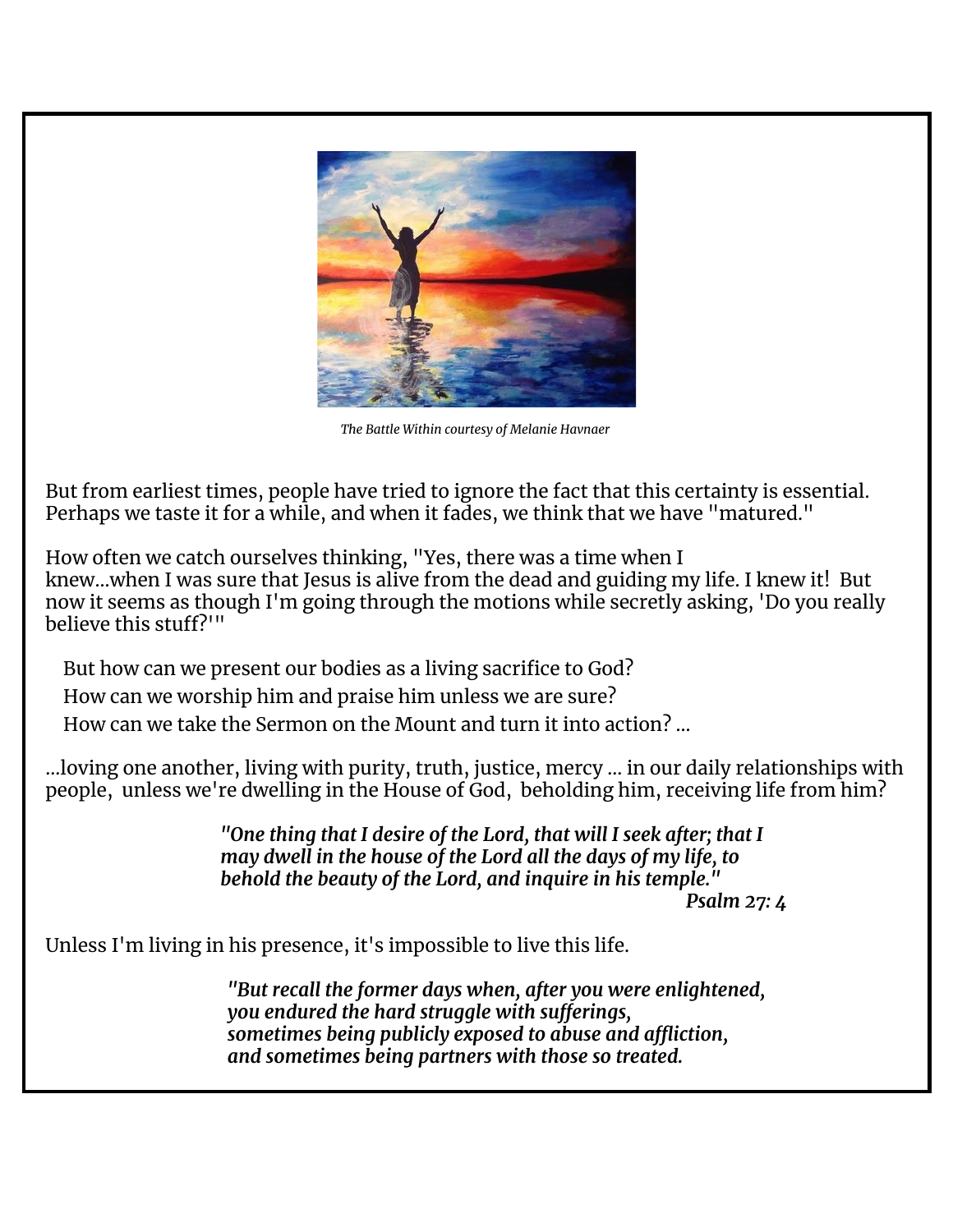

*The Battle Within courtesy of Melanie Havnaer*

But from earliest times, people have tried to ignore the fact that this certainty is essential. Perhaps we taste it for a while, and when it fades, we think that we have "matured."

How often we catch ourselves thinking, "Yes, there was a time when I knew…when I was sure that Jesus is alive from the dead and guiding my life. I knew it! But now it seems as though I'm going through the motions while secretly asking, 'Do you really believe this stuff?'"

But how can we present our bodies as a living sacrifice to God?

How can we worship him and praise him unless we are sure?

How can we take the Sermon on the Mount and turn it into action? …

...loving one another, living with purity, truth, justice, mercy … in our daily relationships with people, unless we're dwelling in the House of God, beholding him, receiving life from him?

> *"One thing that I desire of the Lord, that will I seek after; that I may dwell in the house of the Lord all the days of my life, to behold the beauty of the Lord, and inquire in his temple."*

*Psalm 27: 4*

Unless I'm living in his presence, it's impossible to live this life.

*"But recall the former days when, after you were enlightened, you endured the hard struggle with sufferings, sometimes being publicly exposed to abuse and affliction, and sometimes being partners with those so treated.*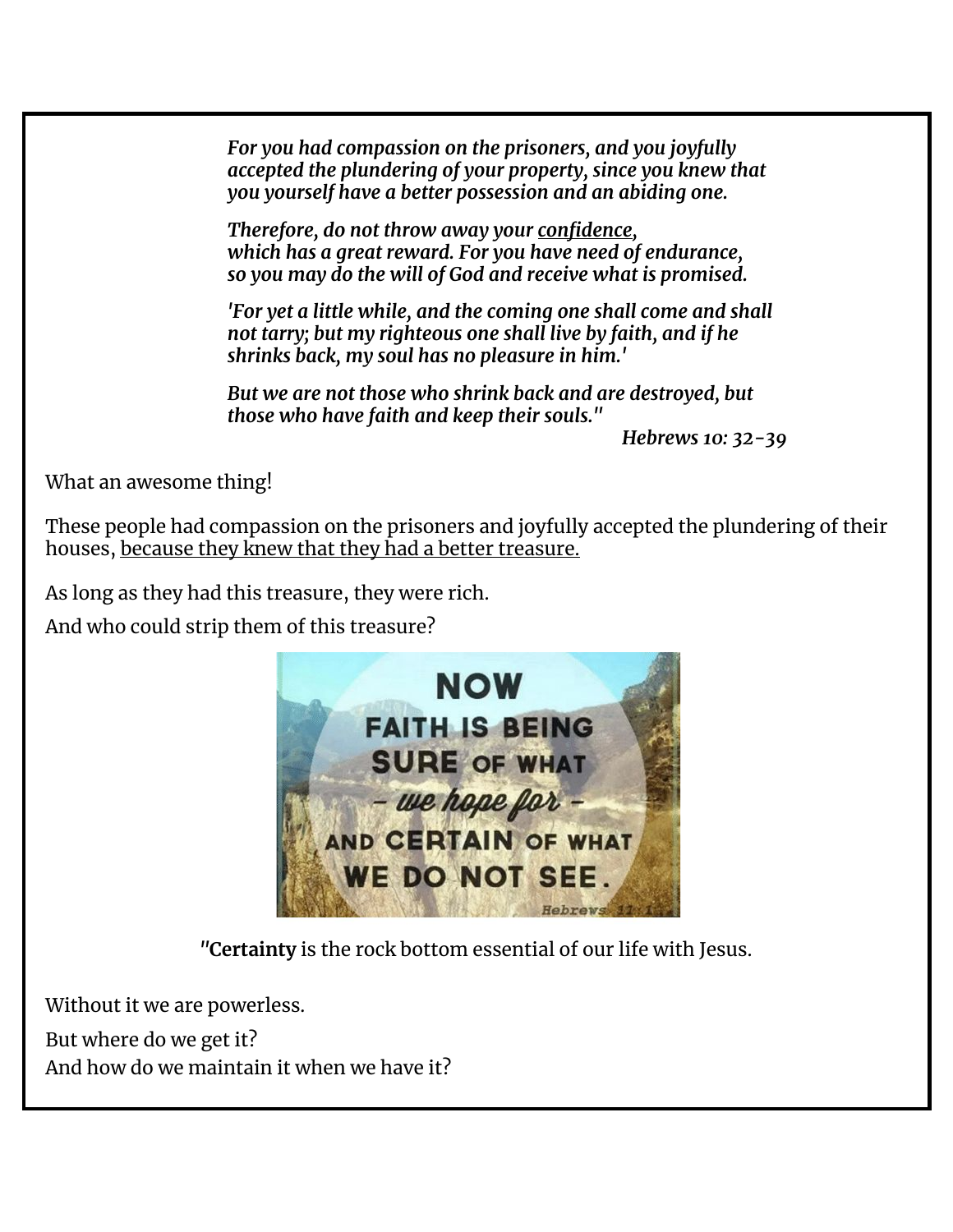*For you had compassion on the prisoners, and you joyfully accepted the plundering of your property, since you knew that you yourself have a better possession and an abiding one.*

*Therefore, do not throw away your confidence, which has a great reward. For you have need of endurance, so you may do the will of God and receive what is promised.*

*'For yet a little while, and the coming one shall come and shall not tarry; but my righteous one shall live by faith, and if he shrinks back, my soul has no pleasure in him.'*

*But we are not those who shrink back and are destroyed, but those who have faith and keep their souls."*

*Hebrews 10: 32-39*

What an awesome thing!

These people had compassion on the prisoners and joyfully accepted the plundering of their houses, because they knew that they had a better treasure.

As long as they had this treasure, they were rich.

And who could strip them of this treasure?



*"***Certainty** is the rock bottom essential of our life with Jesus.

Without it we are powerless.

But where do we get it? And how do we maintain it when we have it?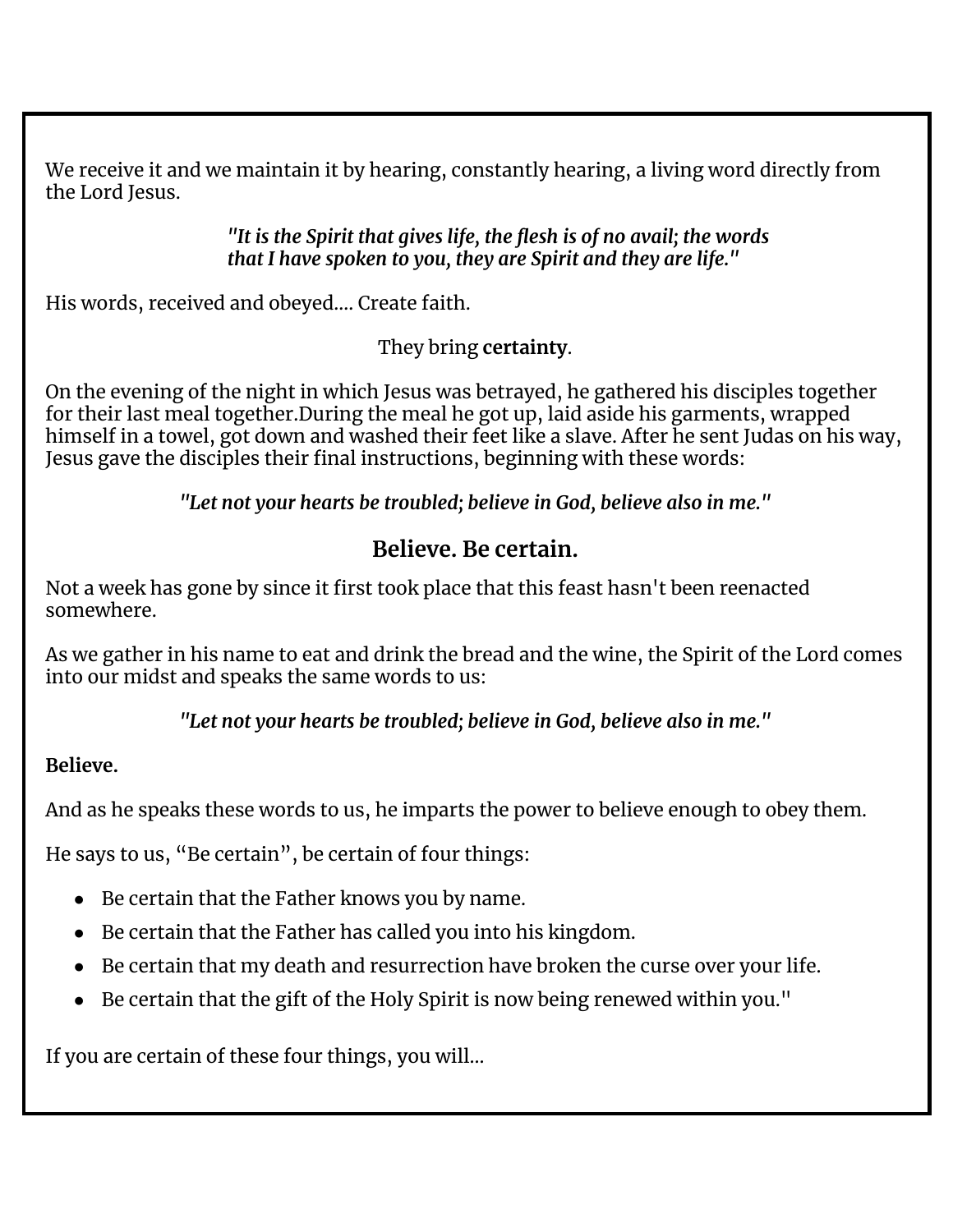We receive it and we maintain it by hearing, constantly hearing, a living word directly from the Lord Jesus.

> *"It is the Spirit that gives life, the flesh is of no avail; the words that I have spoken to you, they are Spirit and they are life."*

His words, received and obeyed…. Create faith.

They bring **certainty**.

On the evening of the night in which Jesus was betrayed, he gathered his disciples together for their last meal together.During the meal he got up, laid aside his garments, wrapped himself in a towel, got down and washed their feet like a slave. After he sent Judas on his way, Jesus gave the disciples their final instructions, beginning with these words:

*"Let not your hearts be troubled; believe in God, believe also in me."*

## **Believe. Be certain.**

Not a week has gone by since it first took place that this feast hasn't been reenacted somewhere.

As we gather in his name to eat and drink the bread and the wine, the Spirit of the Lord comes into our midst and speaks the same words to us:

*"Let not your hearts be troubled; believe in God, believe also in me."*

### **Believe.**

And as he speaks these words to us, he imparts the power to believe enough to obey them.

He says to us, "Be certain", be certain of four things:

- Be certain that the Father knows you by name.
- Be certain that the Father has called you into his kingdom.
- Be certain that my death and resurrection have broken the curse over your life.
- Be certain that the gift of the Holy Spirit is now being renewed within you."

If you are certain of these four things, you will…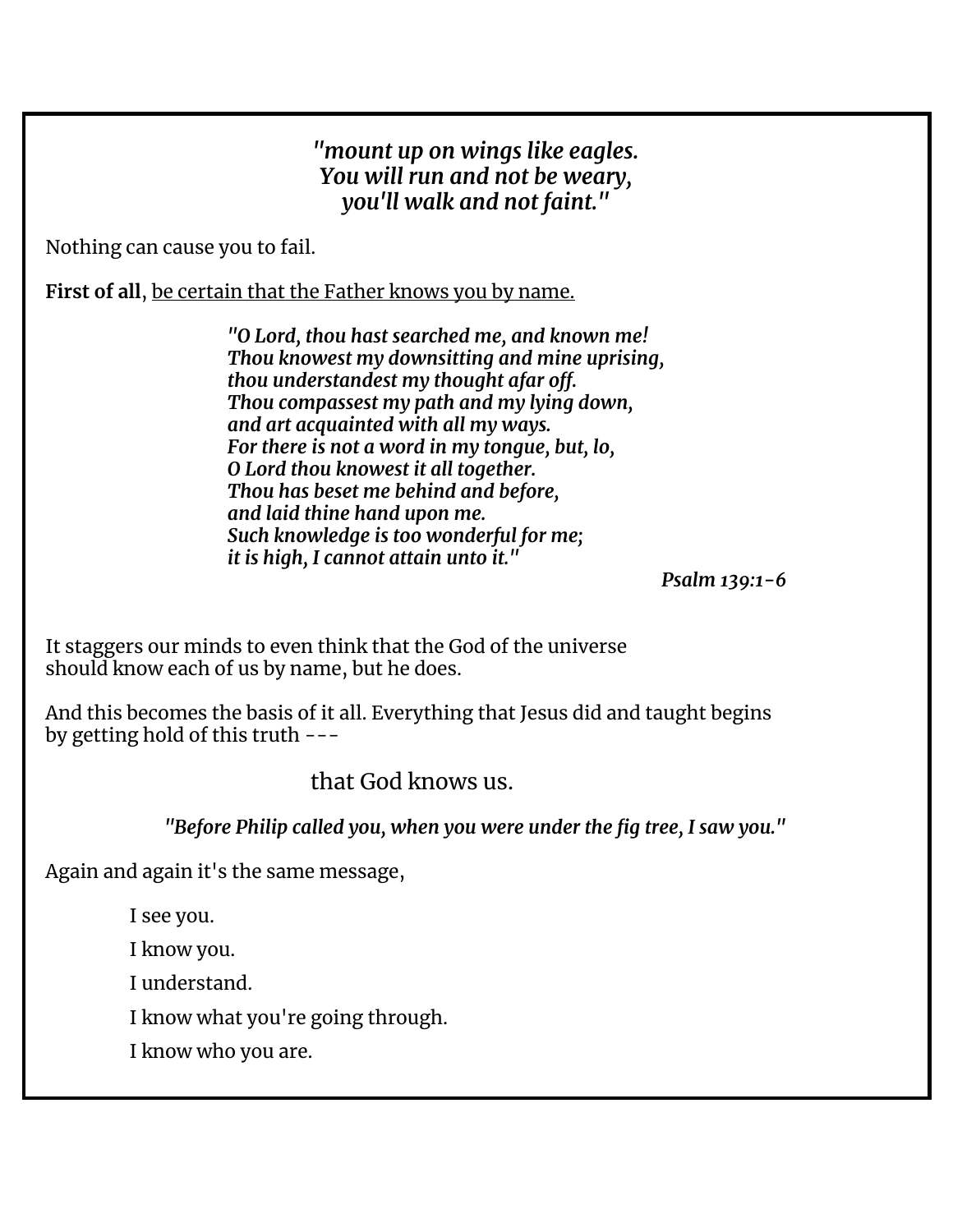#### *"mount up on wings like eagles. You will run and not be weary, you'll walk and not faint."*

Nothing can cause you to fail.

**First of all**, be certain that the Father knows you by name.

*"O Lord, thou hast searched me, and known me! Thou knowest my downsitting and mine uprising, thou understandest my thought afar off. Thou compassest my path and my lying down, and art acquainted with all my ways. For there is not a word in my tongue, but, lo, O Lord thou knowest it all together. Thou has beset me behind and before, and laid thine hand upon me. Such knowledge is too wonderful for me; it is high, I cannot attain unto it."*

*Psalm 139:1-6*

It staggers our minds to even think that the God of the universe should know each of us by name, but he does.

And this becomes the basis of it all. Everything that Jesus did and taught begins by getting hold of this truth ---

that God knows us.

*"Before Philip called you, when you were under the fig tree, I saw you."*

Again and again it's the same message,

I see you.

I know you.

I understand.

I know what you're going through.

I know who you are.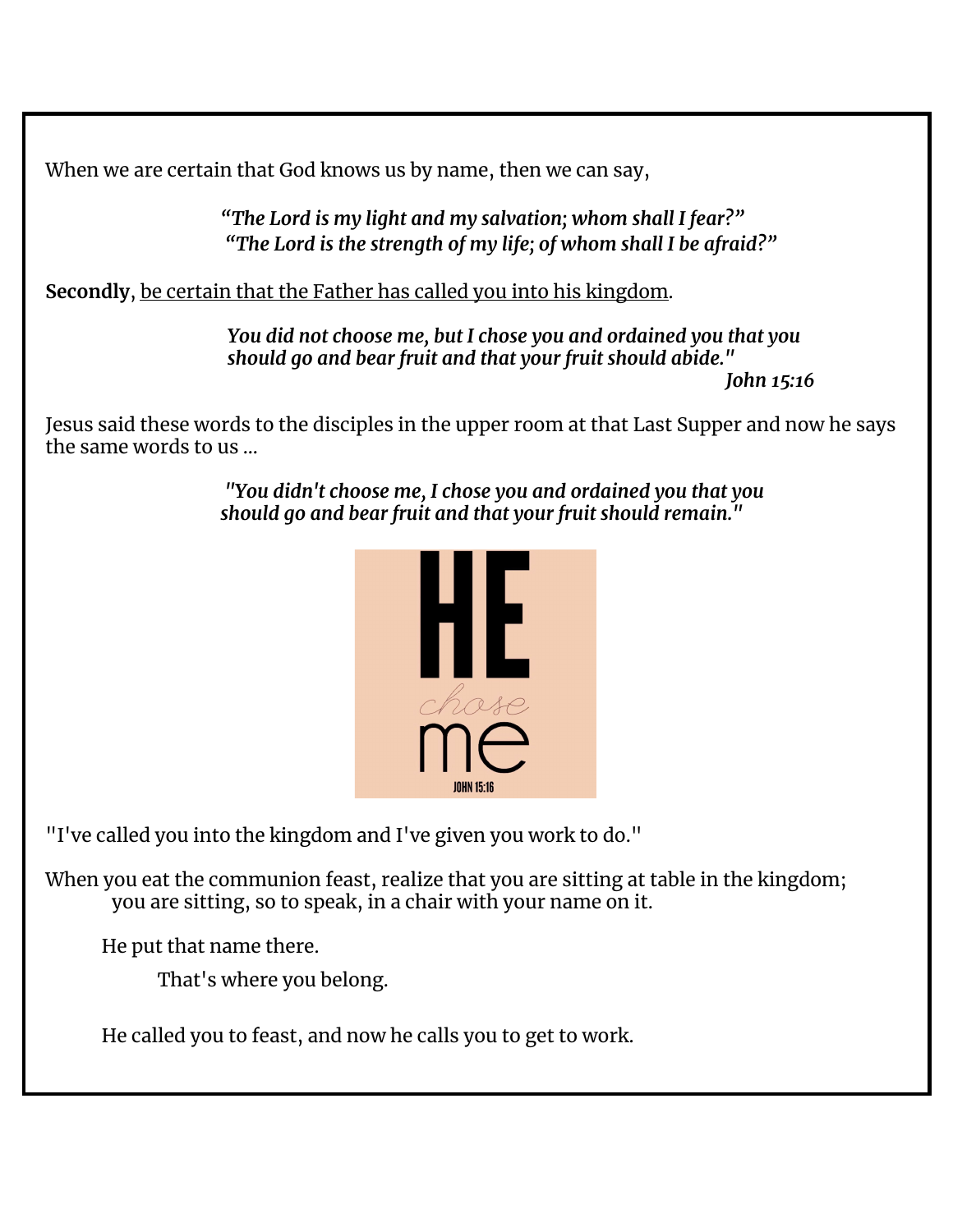When we are certain that God knows us by name, then we can say,

*"The Lord is my light and my salvation; whom shall I fear?" "The Lord is the strength of my life; of whom shall I be afraid?"*

**Secondly**, be certain that the Father has called you into his kingdom.

*You did not choose me, but I chose you and ordained you that you should go and bear fruit and that your fruit should abide." John 15:16*

Jesus said these words to the disciples in the upper room at that Last Supper and now he says the same words to us …

> *"You didn't choose me, I chose you and ordained you that you should go and bear fruit and that your fruit should remain."*



"I've called you into the kingdom and I've given you work to do."

When you eat the communion feast, realize that you are sitting at table in the kingdom; you are sitting, so to speak, in a chair with your name on it.

He put that name there.

That's where you belong.

He called you to feast, and now he calls you to get to work.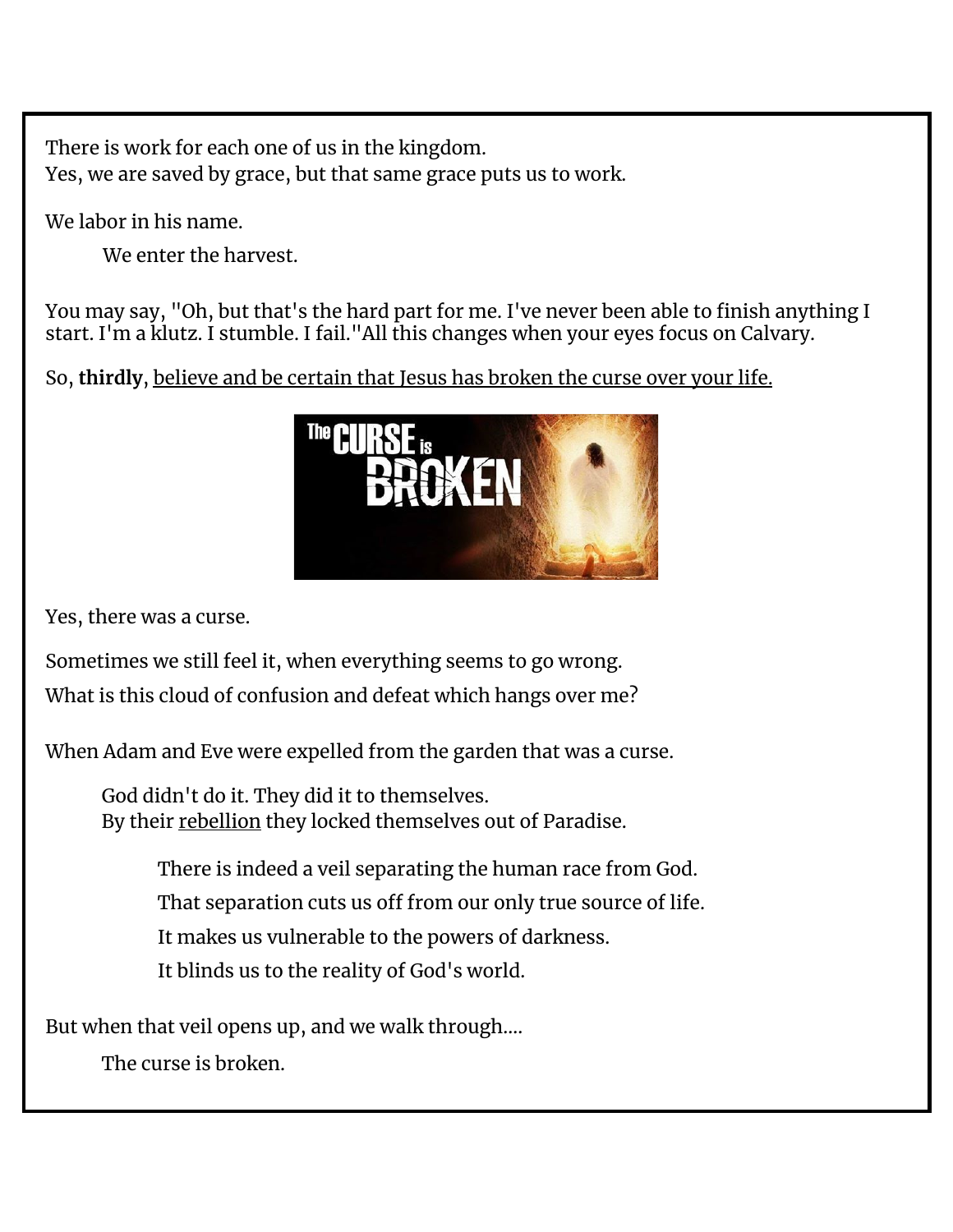There is work for each one of us in the kingdom. Yes, we are saved by grace, but that same grace puts us to work.

We labor in his name.

We enter the harvest.

You may say, "Oh, but that's the hard part for me. I've never been able to finish anything I start. I'm a klutz. I stumble. I fail."All this changes when your eyes focus on Calvary.

So, **thirdly**, believe and be certain that Jesus has broken the curse over your life.



Yes, there was a curse.

Sometimes we still feel it, when everything seems to go wrong. What is this cloud of confusion and defeat which hangs over me?

When Adam and Eve were expelled from the garden that was a curse.

God didn't do it. They did it to themselves. By their rebellion they locked themselves out of Paradise.

> There is indeed a veil separating the human race from God. That separation cuts us off from our only true source of life. It makes us vulnerable to the powers of darkness. It blinds us to the reality of God's world.

But when that veil opens up, and we walk through….

The curse is broken.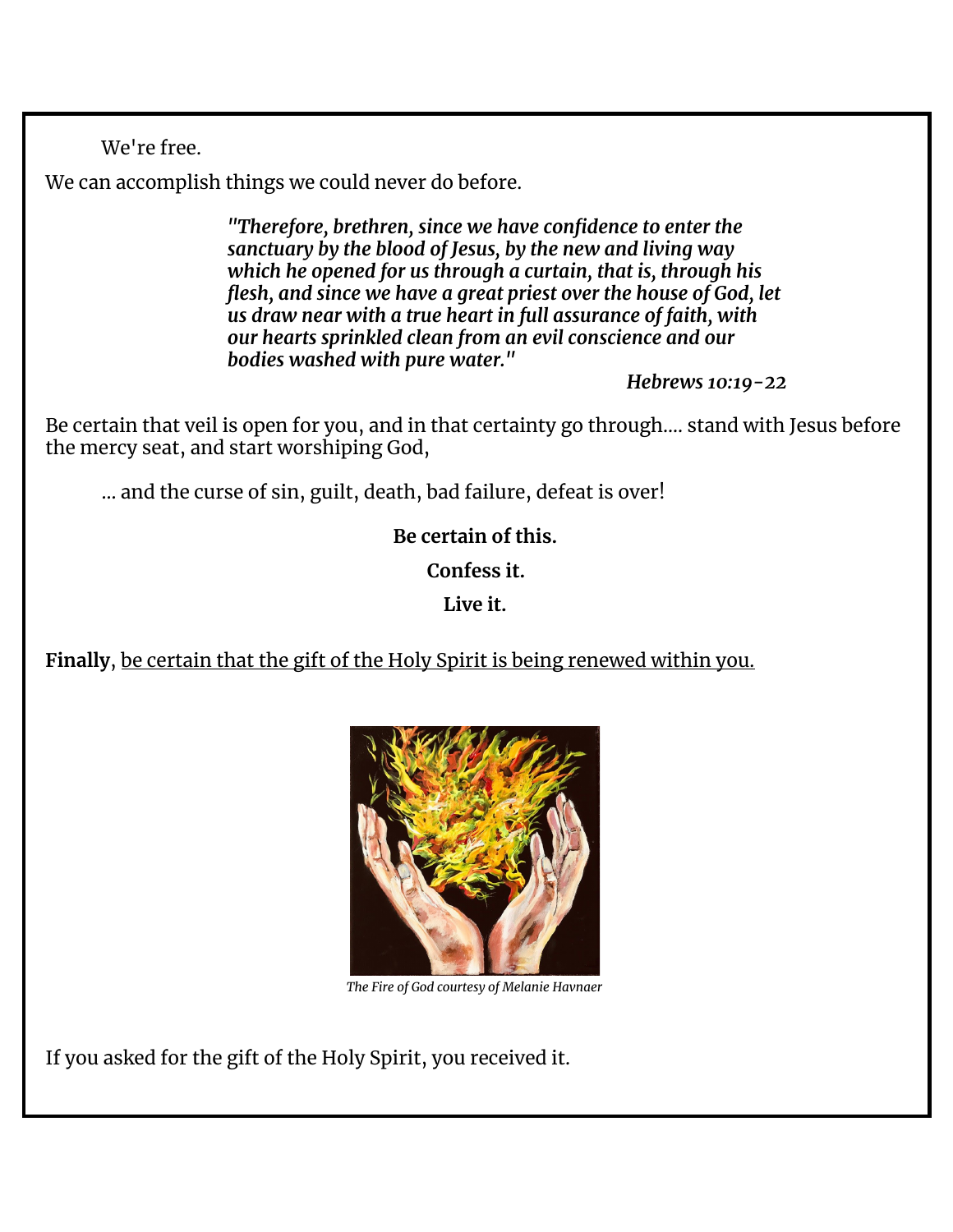We're free.

We can accomplish things we could never do before.

*"Therefore, brethren, since we have confidence to enter the sanctuary by the blood of Jesus, by the new and living way which he opened for us through a curtain, that is, through his flesh, and since we have a great priest over the house of God, let us draw near with a true heart in full assurance of faith, with our hearts sprinkled clean from an evil conscience and our bodies washed with pure water."*

*Hebrews 10:19-22*

Be certain that veil is open for you, and in that certainty go through…. stand with Jesus before the mercy seat, and start worshiping God,

… and the curse of sin, guilt, death, bad failure, defeat is over!

**Be certain of this.**

**Confess it.**

**Live it.**

**Finally**, be certain that the gift of the Holy Spirit is being renewed within you.



*The Fire of God courtesy of Melanie Havnaer*

If you asked for the gift of the Holy Spirit, you received it.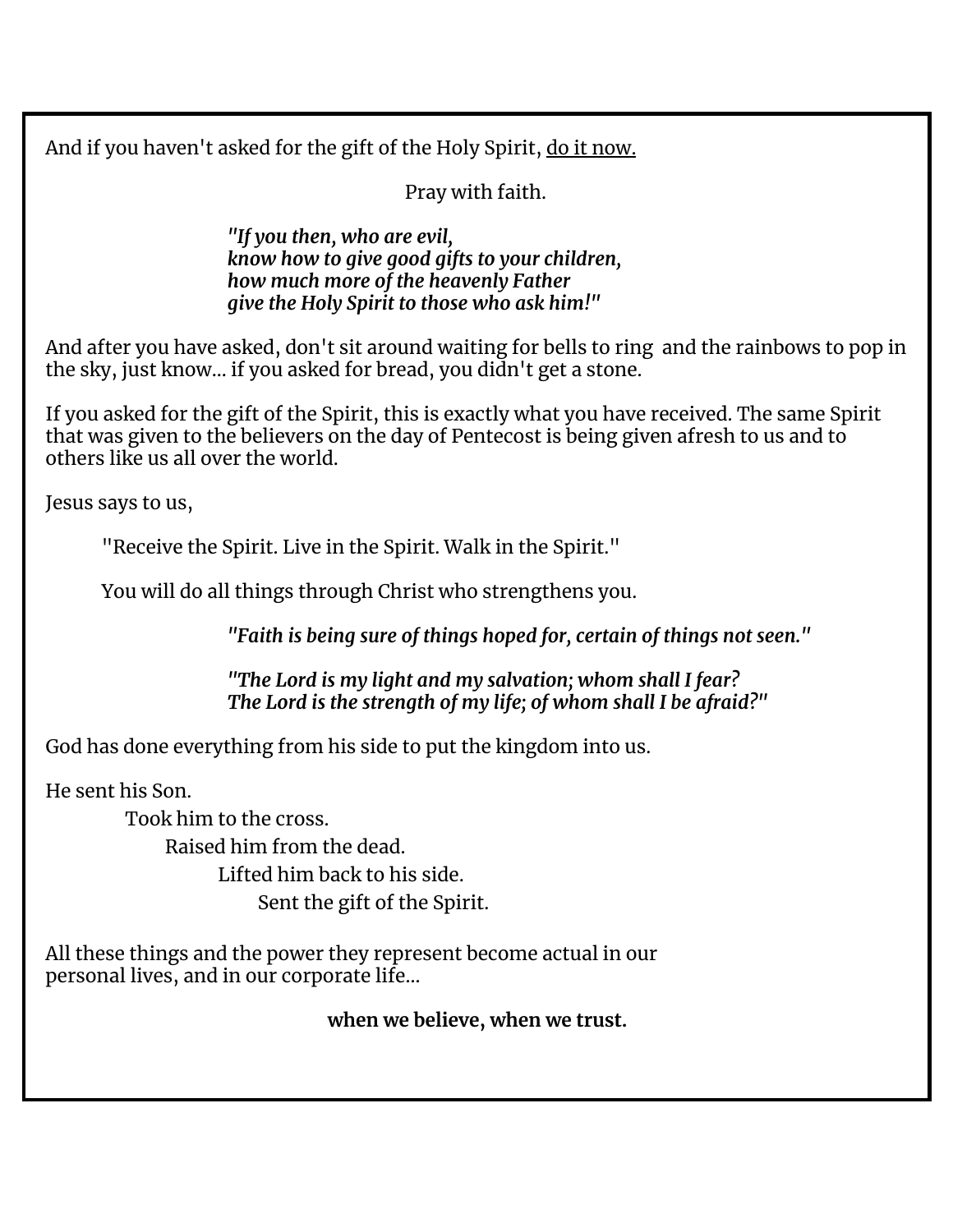And if you haven't asked for the gift of the Holy Spirit, do it now.

Pray with faith.

*"If you then, who are evil, know how to give good gifts to your children, how much more of the heavenly Father give the Holy Spirit to those who ask him!"*

And after you have asked, don't sit around waiting for bells to ring and the rainbows to pop in the sky, just know… if you asked for bread, you didn't get a stone.

If you asked for the gift of the Spirit, this is exactly what you have received. The same Spirit that was given to the believers on the day of Pentecost is being given afresh to us and to others like us all over the world.

Jesus says to us,

"Receive the Spirit. Live in the Spirit. Walk in the Spirit."

You will do all things through Christ who strengthens you.

*"Faith is being sure of things hoped for, certain of things not seen."*

*"The Lord is my light and my salvation; whom shall I fear? The Lord is the strength of my life; of whom shall I be afraid?"*

God has done everything from his side to put the kingdom into us.

He sent his Son.

Took him to the cross. Raised him from the dead. Lifted him back to his side. Sent the gift of the Spirit.

All these things and the power they represent become actual in our personal lives, and in our corporate life…

**when we believe, when we trust.**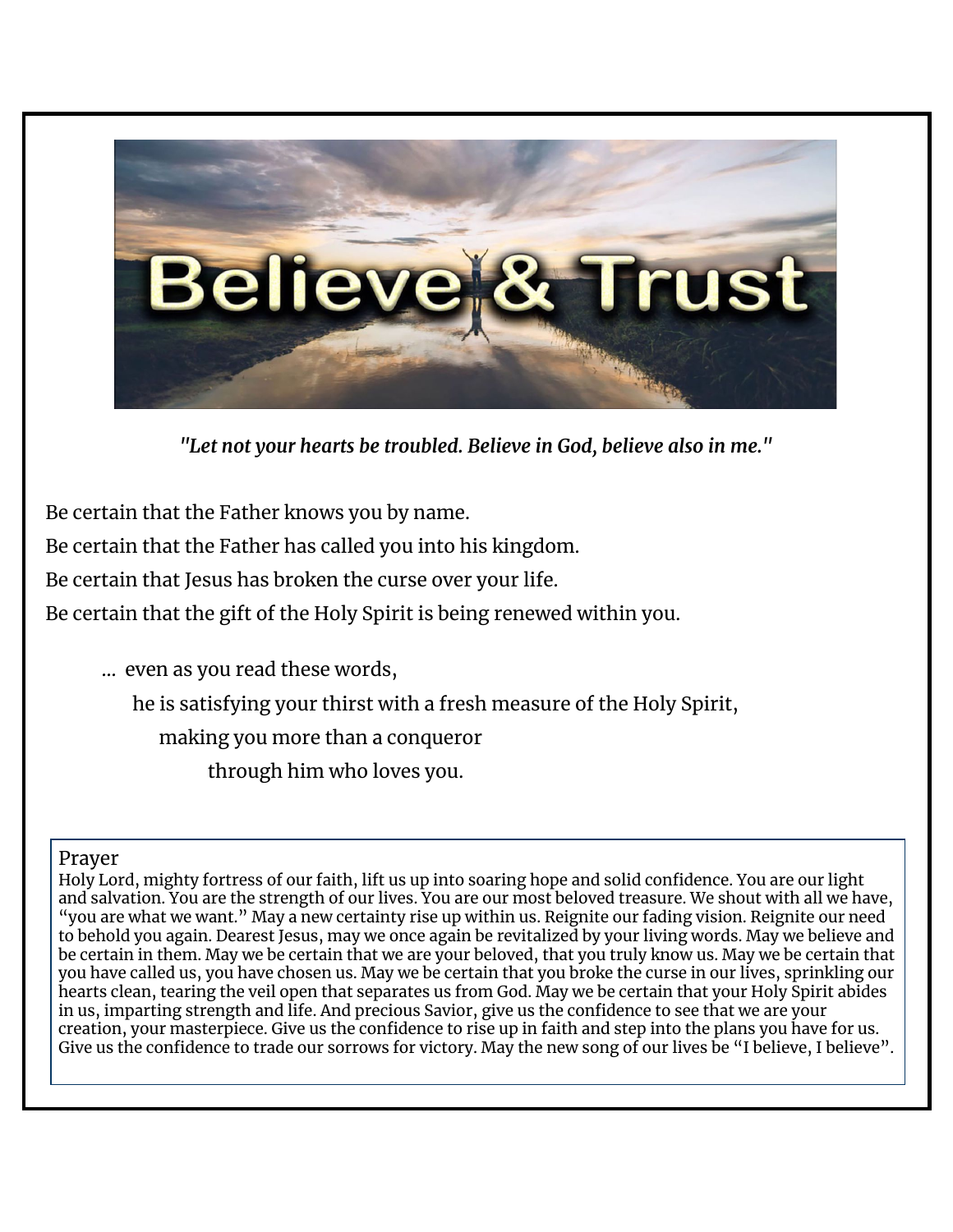

*"Let not your hearts be troubled. Believe in God, believe also in me."*

Be certain that the Father knows you by name.

Be certain that the Father has called you into his kingdom.

Be certain that Jesus has broken the curse over your life.

Be certain that the gift of the Holy Spirit is being renewed within you.

… even as you read these words, he is satisfying your thirst with a fresh measure of the Holy Spirit, making you more than a conqueror through him who loves you.

#### Prayer

Holy Lord, mighty fortress of our faith, lift us up into soaring hope and solid confidence. You are our light and salvation. You are the strength of our lives. You are our most beloved treasure. We shout with all we have, "you are what we want." May a new certainty rise up within us. Reignite our fading vision. Reignite our need to behold you again. Dearest Jesus, may we once again be revitalized by your living words. May we believe and be certain in them. May we be certain that we are your beloved, that you truly know us. May we be certain that you have called us, you have chosen us. May we be certain that you broke the curse in our lives, sprinkling our hearts clean, tearing the veil open that separates us from God. May we be certain that your Holy Spirit abides in us, imparting strength and life. And precious Savior, give us the confidence to see that we are your creation, your masterpiece. Give us the confidence to rise up in faith and step into the plans you have for us. Give us the confidence to trade our sorrows for victory. May the new song of our lives be "I believe, I believe".